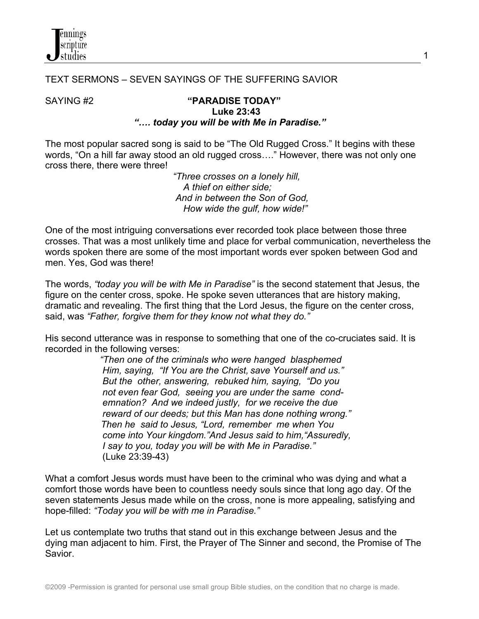

## TEXT SERMONS – SEVEN SAYINGS OF THE SUFFERING SAVIOR

## SAYING #2 **"PARADISE TODAY" Luke 23:43**  *"…. today you will be with Me in Paradise."*

The most popular sacred song is said to be "The Old Rugged Cross." It begins with these words, "On a hill far away stood an old rugged cross…." However, there was not only one cross there, there were three!

 *"Three crosses on a lonely hill, A thief on either side; And in between the Son of God, How wide the gulf, how wide!"*

One of the most intriguing conversations ever recorded took place between those three crosses. That was a most unlikely time and place for verbal communication, nevertheless the words spoken there are some of the most important words ever spoken between God and men. Yes, God was there!

The words, *"today you will be with Me in Paradise"* is the second statement that Jesus, the figure on the center cross, spoke. He spoke seven utterances that are history making, dramatic and revealing. The first thing that the Lord Jesus, the figure on the center cross, said, was *"Father, forgive them for they know not what they do."*

His second utterance was in response to something that one of the co-cruciates said. It is recorded in the following verses:

> *"Then one of the criminals who were hanged blasphemed Him, saying, "If You are the Christ, save Yourself and us." But the other, answering, rebuked him, saying, "Do you not even fear God, seeing you are under the same cond emnation? And we indeed justly, for we receive the due reward of our deeds; but this Man has done nothing wrong." Then he said to Jesus, "Lord, remember me when You come into Your kingdom."And Jesus said to him,"Assuredly, I say to you, today you will be with Me in Paradise."* (Luke 23:39-43)

What a comfort Jesus words must have been to the criminal who was dying and what a comfort those words have been to countless needy souls since that long ago day. Of the seven statements Jesus made while on the cross, none is more appealing, satisfying and hope-filled: *"Today you will be with me in Paradise."*

Let us contemplate two truths that stand out in this exchange between Jesus and the dying man adjacent to him. First, the Prayer of The Sinner and second, the Promise of The Savior.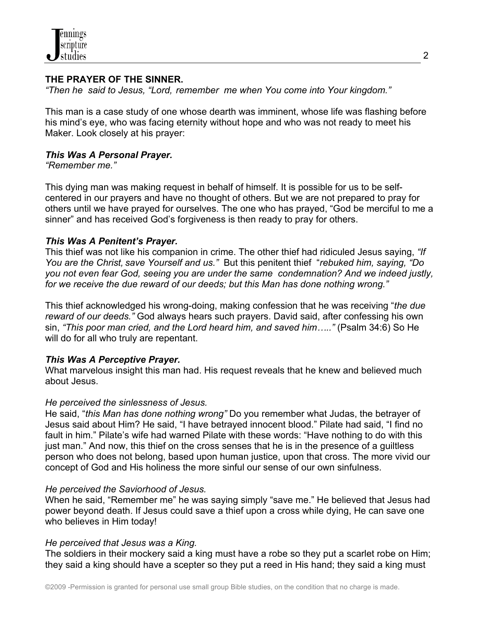

## **THE PRAYER OF THE SINNER.**

*"Then he said to Jesus, "Lord, remember me when You come into Your kingdom."*

This man is a case study of one whose dearth was imminent, whose life was flashing before his mind's eye, who was facing eternity without hope and who was not ready to meet his Maker. Look closely at his prayer:

### *This Was A Personal Prayer.*

*"Remember me."*

This dying man was making request in behalf of himself. It is possible for us to be selfcentered in our prayers and have no thought of others. But we are not prepared to pray for others until we have prayed for ourselves. The one who has prayed, "God be merciful to me a sinner" and has received God's forgiveness is then ready to pray for others.

### *This Was A Penitent's Prayer.*

This thief was not like his companion in crime. The other thief had ridiculed Jesus saying, *"If You are the Christ, save Yourself and us."* But this penitent thief "*rebuked him, saying, "Do you not even fear God, seeing you are under the same condemnation? And we indeed justly, for we receive the due reward of our deeds; but this Man has done nothing wrong."* 

This thief acknowledged his wrong-doing, making confession that he was receiving "*the due reward of our deeds."* God always hears such prayers. David said, after confessing his own sin, *"This poor man cried, and the Lord heard him, and saved him….."* (Psalm 34:6) So He will do for all who truly are repentant.

## *This Was A Perceptive Prayer.*

What marvelous insight this man had. His request reveals that he knew and believed much about Jesus.

#### *He perceived the sinlessness of Jesus.*

He said, "*this Man has done nothing wrong"* Do you remember what Judas, the betrayer of Jesus said about Him? He said, "I have betrayed innocent blood." Pilate had said, "I find no fault in him." Pilate's wife had warned Pilate with these words: "Have nothing to do with this just man." And now, this thief on the cross senses that he is in the presence of a guiltless person who does not belong, based upon human justice, upon that cross. The more vivid our concept of God and His holiness the more sinful our sense of our own sinfulness.

## *He perceived the Saviorhood of Jesus.*

When he said, "Remember me" he was saying simply "save me." He believed that Jesus had power beyond death. If Jesus could save a thief upon a cross while dying, He can save one who believes in Him today!

#### *He perceived that Jesus was a King.*

The soldiers in their mockery said a king must have a robe so they put a scarlet robe on Him; they said a king should have a scepter so they put a reed in His hand; they said a king must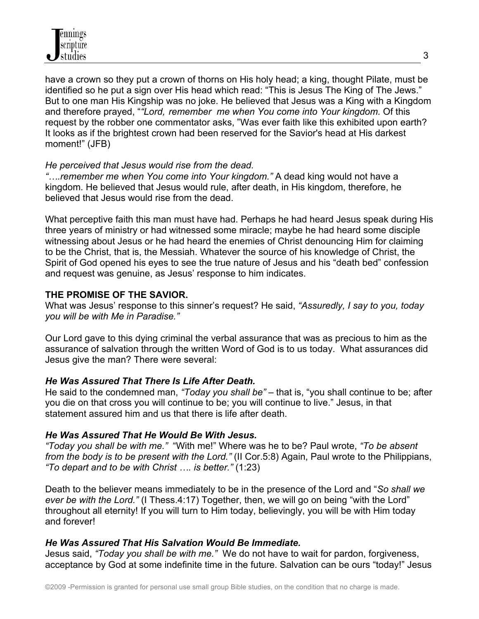have a crown so they put a crown of thorns on His holy head; a king, thought Pilate, must be identified so he put a sign over His head which read: "This is Jesus The King of The Jews." But to one man His Kingship was no joke. He believed that Jesus was a King with a Kingdom and therefore prayed, "*"Lord, remember me when You come into Your kingdom.* Of this request by the robber one commentator asks, "Was ever faith like this exhibited upon earth? It looks as if the brightest crown had been reserved for the Savior's head at His darkest moment!" (JFB)

## *He perceived that Jesus would rise from the dead.*

*"….remember me when You come into Your kingdom."* A dead king would not have a kingdom. He believed that Jesus would rule, after death, in His kingdom, therefore, he believed that Jesus would rise from the dead.

What perceptive faith this man must have had. Perhaps he had heard Jesus speak during His three years of ministry or had witnessed some miracle; maybe he had heard some disciple witnessing about Jesus or he had heard the enemies of Christ denouncing Him for claiming to be the Christ, that is, the Messiah. Whatever the source of his knowledge of Christ, the Spirit of God opened his eyes to see the true nature of Jesus and his "death bed" confession and request was genuine, as Jesus' response to him indicates.

# **THE PROMISE OF THE SAVIOR.**

What was Jesus' response to this sinner's request? He said, *"Assuredly, I say to you, today you will be with Me in Paradise."*

Our Lord gave to this dying criminal the verbal assurance that was as precious to him as the assurance of salvation through the written Word of God is to us today. What assurances did Jesus give the man? There were several:

# *He Was Assured That There Is Life After Death.*

He said to the condemned man, *"Today you shall be"* – that is, "you shall continue to be; after you die on that cross you will continue to be; you will continue to live." Jesus, in that statement assured him and us that there is life after death.

# *He Was Assured That He Would Be With Jesus.*

*"Today you shall be with me."* "With me!" Where was he to be? Paul wrote, *"To be absent from the body is to be present with the Lord."* (II Cor.5:8) Again, Paul wrote to the Philippians, *"To depart and to be with Christ …. is better."* (1:23)

Death to the believer means immediately to be in the presence of the Lord and "*So shall we ever be with the Lord."* (I Thess.4:17) Together, then, we will go on being "with the Lord" throughout all eternity! If you will turn to Him today, believingly, you will be with Him today and forever!

# *He Was Assured That His Salvation Would Be Immediate.*

Jesus said, *"Today you shall be with me."* We do not have to wait for pardon, forgiveness, acceptance by God at some indefinite time in the future. Salvation can be ours "today!" Jesus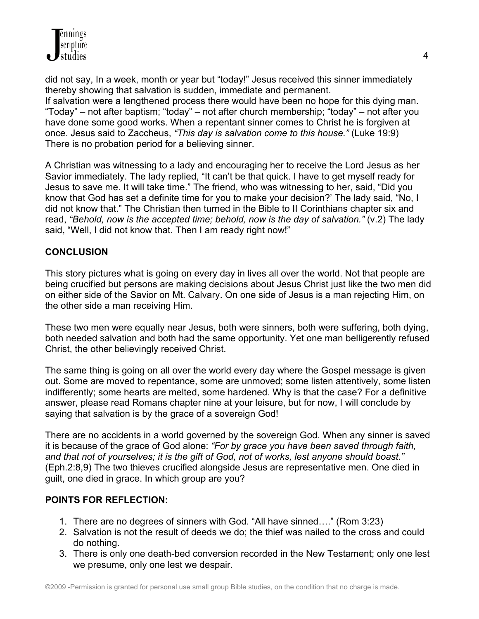did not say, In a week, month or year but "today!" Jesus received this sinner immediately thereby showing that salvation is sudden, immediate and permanent. If salvation were a lengthened process there would have been no hope for this dying man. "Today" – not after baptism; "today" – not after church membership; "today" – not after you have done some good works. When a repentant sinner comes to Christ he is forgiven at once. Jesus said to Zaccheus, *"This day is salvation come to this house."* (Luke 19:9) There is no probation period for a believing sinner.

A Christian was witnessing to a lady and encouraging her to receive the Lord Jesus as her Savior immediately. The lady replied, "It can't be that quick. I have to get myself ready for Jesus to save me. It will take time." The friend, who was witnessing to her, said, "Did you know that God has set a definite time for you to make your decision?' The lady said, "No, I did not know that." The Christian then turned in the Bible to II Corinthians chapter six and read, *"Behold, now is the accepted time; behold, now is the day of salvation."* (v.2) The lady said, "Well, I did not know that. Then I am ready right now!"

## **CONCLUSION**

This story pictures what is going on every day in lives all over the world. Not that people are being crucified but persons are making decisions about Jesus Christ just like the two men did on either side of the Savior on Mt. Calvary. On one side of Jesus is a man rejecting Him, on the other side a man receiving Him.

These two men were equally near Jesus, both were sinners, both were suffering, both dying, both needed salvation and both had the same opportunity. Yet one man belligerently refused Christ, the other believingly received Christ.

The same thing is going on all over the world every day where the Gospel message is given out. Some are moved to repentance, some are unmoved; some listen attentively, some listen indifferently; some hearts are melted, some hardened. Why is that the case? For a definitive answer, please read Romans chapter nine at your leisure, but for now, I will conclude by saying that salvation is by the grace of a sovereign God!

There are no accidents in a world governed by the sovereign God. When any sinner is saved it is because of the grace of God alone: *"For by grace you have been saved through faith, and that not of yourselves; it is the gift of God, not of works, lest anyone should boast."*  (Eph.2:8,9) The two thieves crucified alongside Jesus are representative men. One died in guilt, one died in grace. In which group are you?

## **POINTS FOR REFLECTION:**

- 1. There are no degrees of sinners with God. "All have sinned…." (Rom 3:23)
- 2. Salvation is not the result of deeds we do; the thief was nailed to the cross and could do nothing.
- 3. There is only one death-bed conversion recorded in the New Testament; only one lest we presume, only one lest we despair.